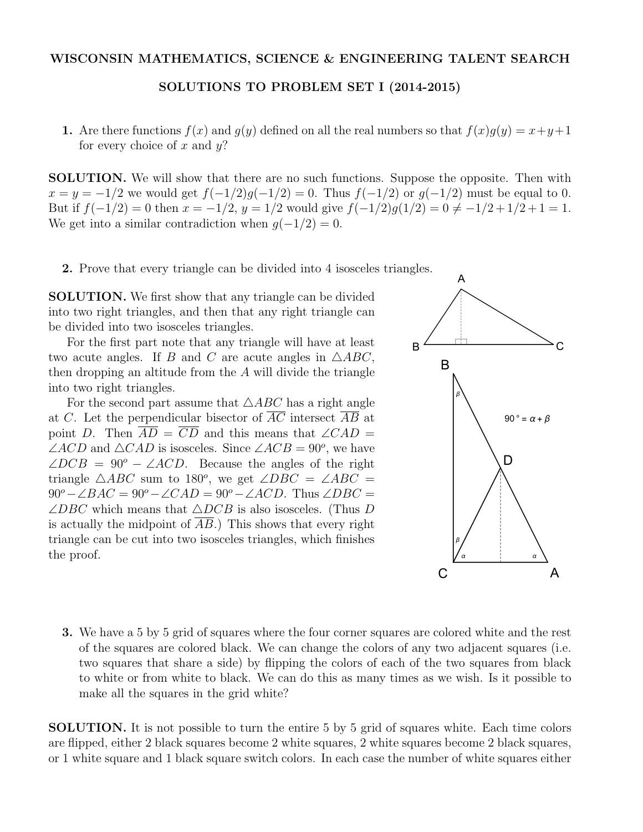SOLUTIONS TO PROBLEM SET I (2014-2015)

1. Are there functions  $f(x)$  and  $g(y)$  defined on all the real numbers so that  $f(x)g(y) = x+y+1$ for every choice of *x* and *y*?

SOLUTION. We will show that there are no such functions. Suppose the opposite. Then with  $x = y = -1/2$  we would get  $f(-1/2)g(-1/2) = 0$ . Thus  $f(-1/2)$  or  $g(-1/2)$  must be equal to 0. But if  $f(-1/2) = 0$  then  $x = -1/2$ ,  $y = 1/2$  would give  $f(-1/2)g(1/2) = 0 \neq -1/2 + 1/2 + 1 = 1$ . We get into a similar contradiction when  $g(-1/2) = 0$ .

2. Prove that every triangle can be divided into 4 isosceles triangles.

SOLUTION. We first show that any triangle can be divided into two right triangles, and then that any right triangle can be divided into two isosceles triangles.

For the first part note that any triangle will have at least two acute angles. If *B* and *C* are acute angles in  $\triangle ABC$ , then dropping an altitude from the *A* will divide the triangle into two right triangles.

For the second part assume that  $\triangle ABC$  has a right angle at *C*. Let the perpendicular bisector of *AC* intersect *AB* at point *D*. Then  $\overline{AD} = \overline{CD}$  and this means that  $\angle CAD =$  $\angle ACD$  and  $\triangle CAD$  is isosceles. Since  $\angle ACB = 90^o$ , we have  $\angle DCB = 90^\circ - \angle ACD$ . Because the angles of the right triangle  $\triangle ABC$  sum to 180<sup>o</sup>, we get  $\angle DBC = \angle ABC$  =  $90^\circ - \angle BAC = 90^\circ - \angle CAD = 90^\circ - \angle ACD$ . Thus  $\angle DBC =$  $\angle DBC$  which means that  $\triangle DCB$  is also isosceles. (Thus *D* is actually the midpoint of *AB*.) This shows that every right triangle can be cut into two isosceles triangles, which finishes the proof.



3. We have a 5 by 5 grid of squares where the four corner squares are colored white and the rest of the squares are colored black. We can change the colors of any two adjacent squares (i.e. two squares that share a side) by flipping the colors of each of the two squares from black to white or from white to black. We can do this as many times as we wish. Is it possible to make all the squares in the grid white?

SOLUTION. It is not possible to turn the entire 5 by 5 grid of squares white. Each time colors are flipped, either 2 black squares become 2 white squares, 2 white squares become 2 black squares, or 1 white square and 1 black square switch colors. In each case the number of white squares either